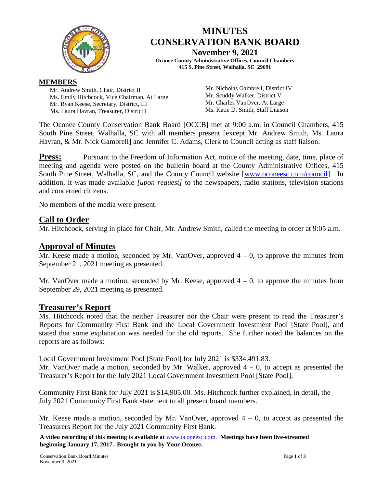

# **MINUTES CONSERVATION BANK BOARD**

**November 9, 2021 Oconee County Administrative Offices, Council Chambers**

### **415 S. Pine Street, Walhalla, SC 29691**

#### **MEMBERS**

Mr. Andrew Smith, Chair, District II Ms. Emily Hitchcock, Vice Chairman, At Large Mr. Ryan Keese, Secretary, District, III Ms. Laura Havran, Treasurer, District I

Mr. Nicholas Gambrell, District IV Mr. Scuddy Walker, District V Mr. Charles VanOver, At Large Ms. Katie D. Smith, Staff Liaison

The Oconee County Conservation Bank Board [OCCB] met at 9:00 a.m. in Council Chambers, 415 South Pine Street, Walhalla, SC with all members present [except Mr. Andrew Smith, Ms. Laura Havran, & Mr. Nick Gambrell] and Jennifer C. Adams, Clerk to Council acting as staff liaison.

**Press:** Pursuant to the Freedom of Information Act, notice of the meeting, date, time, place of meeting and agenda were posted on the bulletin board at the County Administrative Offices, 415 South Pine Street, Walhalla, SC, and the County Council website [\[www.oconeesc.com/council\]](http://www.oconeesc.com/council). In addition, it was made available *[upon request]* to the newspapers, radio stations, television stations and concerned citizens.

No members of the media were present.

# **Call to Order**

Mr. Hitchcock, serving in place for Chair, Mr. Andrew Smith, called the meeting to order at 9:05 a.m.

# **Approval of Minutes**

Mr. Keese made a motion, seconded by Mr. VanOver, approved  $4 - 0$ , to approve the minutes from September 21, 2021 meeting as presented.

Mr. VanOver made a motion, seconded by Mr. Keese, approved  $4 - 0$ , to approve the minutes from September 29, 2021 meeting as presented.

### **Treasurer's Report**

Ms. Hitchcock noted that the neither Treasurer nor the Chair were present to read the Treasurer's Reports for Community First Bank and the Local Government Investment Pool [State Pool], and stated that some explanation was needed for the old reports. She further noted the balances on the reports are as follows:

Local Government Investment Pool [State Pool] for July 2021 is \$334,491.83.

Mr. VanOver made a motion, seconded by Mr. Walker, approved  $4 - 0$ , to accept as presented the Treasurer's Report for the July 2021 Local Government Investment Pool [State Pool].

Community First Bank for July 2021 is \$14,905.00. Ms. Hitchcock further explained, in detail, the July 2021 Community First Bank statement to all present board members.

Mr. Keese made a motion, seconded by Mr. VanOver, approved  $4 - 0$ , to accept as presented the Treasurers Report for the July 2021 Community First Bank.

**A video recording of this meeting is available at** [www.oconeesc.com.](http://www.oconeesc.com/) **Meetings have been live-streamed beginning January 17, 2017. Brought to you by Your Oconee.**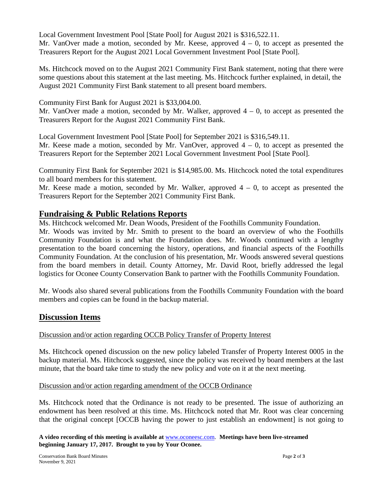Local Government Investment Pool [State Pool] for August 2021 is \$316,522.11.

Mr. VanOver made a motion, seconded by Mr. Keese, approved  $4 - 0$ , to accept as presented the Treasurers Report for the August 2021 Local Government Investment Pool [State Pool].

Ms. Hitchcock moved on to the August 2021 Community First Bank statement, noting that there were some questions about this statement at the last meeting. Ms. Hitchcock further explained, in detail, the August 2021 Community First Bank statement to all present board members.

Community First Bank for August 2021 is \$33,004.00.

Mr. VanOver made a motion, seconded by Mr. Walker, approved  $4 - 0$ , to accept as presented the Treasurers Report for the August 2021 Community First Bank.

Local Government Investment Pool [State Pool] for September 2021 is \$316,549.11. Mr. Keese made a motion, seconded by Mr. VanOver, approved  $4 - 0$ , to accept as presented the Treasurers Report for the September 2021 Local Government Investment Pool [State Pool].

Community First Bank for September 2021 is \$14,985.00. Ms. Hitchcock noted the total expenditures to all board members for this statement.

Mr. Keese made a motion, seconded by Mr. Walker, approved  $4 - 0$ , to accept as presented the Treasurers Report for the September 2021 Community First Bank.

# **Fundraising & Public Relations Reports**

Ms. Hitchcock welcomed Mr. Dean Woods, President of the Foothills Community Foundation.

Mr. Woods was invited by Mr. Smith to present to the board an overview of who the Foothills Community Foundation is and what the Foundation does. Mr. Woods continued with a lengthy presentation to the board concerning the history, operations, and financial aspects of the Foothills Community Foundation. At the conclusion of his presentation, Mr. Woods answered several questions from the board members in detail. County Attorney, Mr. David Root, briefly addressed the legal logistics for Oconee County Conservation Bank to partner with the Foothills Community Foundation.

Mr. Woods also shared several publications from the Foothills Community Foundation with the board members and copies can be found in the backup material.

# **Discussion Items**

# Discussion and/or action regarding OCCB Policy Transfer of Property Interest

Ms. Hitchcock opened discussion on the new policy labeled Transfer of Property Interest 0005 in the backup material. Ms. Hitchcock suggested, since the policy was received by board members at the last minute, that the board take time to study the new policy and vote on it at the next meeting.

### Discussion and/or action regarding amendment of the OCCB Ordinance

Ms. Hitchcock noted that the Ordinance is not ready to be presented. The issue of authorizing an endowment has been resolved at this time. Ms. Hitchcock noted that Mr. Root was clear concerning that the original concept [OCCB having the power to just establish an endowment] is not going to

**A video recording of this meeting is available at** [www.oconeesc.com.](http://www.oconeesc.com/) **Meetings have been live-streamed beginning January 17, 2017. Brought to you by Your Oconee.**